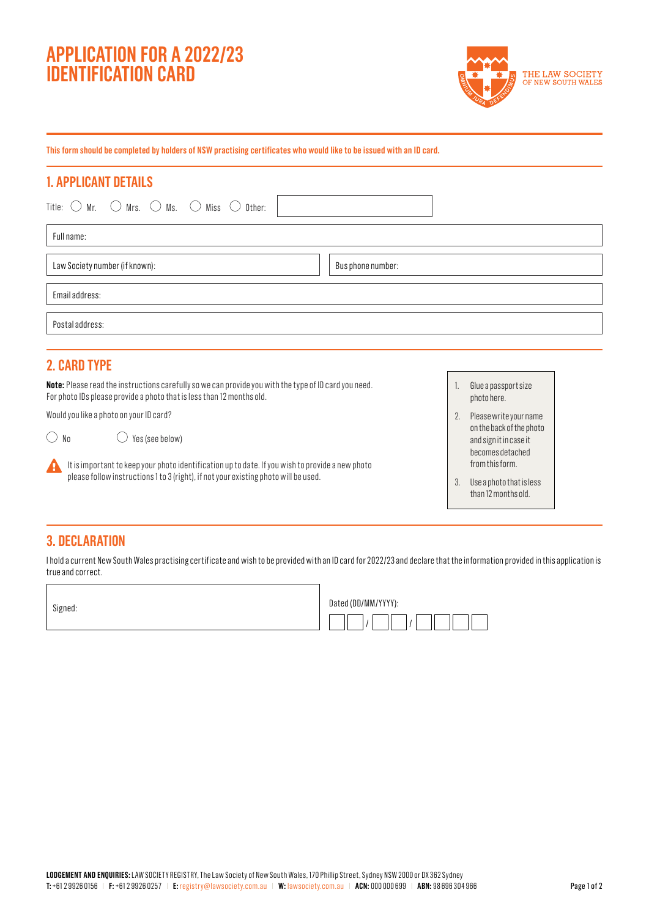# **APPLICATION FOR A 2022/23 IDENTIFICATION CARD**



**This form should be completed by holders of NSW practising certificates who would like to be issued with an ID card.**

# **1. APPLICANT DETAILS**

| Title: $\bigcirc$ Mr. $\bigcirc$ Mrs. $\bigcirc$ Ms. $\bigcirc$ Miss $\bigcirc$ Other: |                   |
|----------------------------------------------------------------------------------------|-------------------|
| Full name:                                                                             |                   |
| Law Society number (if known):                                                         | Bus phone number: |
| Email address:                                                                         |                   |
| Postal address:                                                                        |                   |
|                                                                                        |                   |

# **2. CARD TYPE**

**Note:** Please read the instructions carefully so we can provide you with the type of ID card you need. For photo IDs please provide a photo that is less than 12 months old.

Would you like a photo on your ID card?

 $\bigcirc$  No  $\bigcirc$  Yes (see below)

It is important to keep your photo identification up to date. If you wish to provide a new photo please follow instructions 1 to 3 (right), if not your existing photo will be used.

- 1. Glue a passport size photo here.
- 2. Please write your name on the back of the photo and sign it in case it becomes detached from this form.
- 3. Use a photo that is less than 12 months old.

# **3. DECLARATION**

I hold a current New South Wales practising certificate and wish to be provided with an ID card for 2022/23 and declare that the information provided in this application is true and correct.

Signed:

А

| Dated (DD/MM/YYYY): |
|---------------------|
|                     |